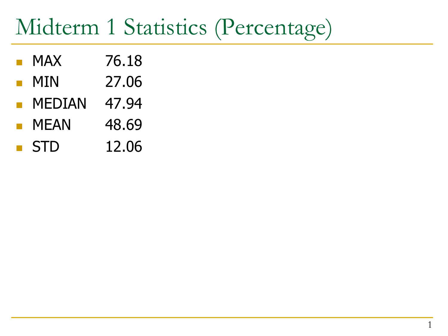## Midterm 1 Statistics (Percentage)

- MAX 76.18
- MIN 27.06
- MEDIAN 47.94
- MEAN 48.69
- STD 12.06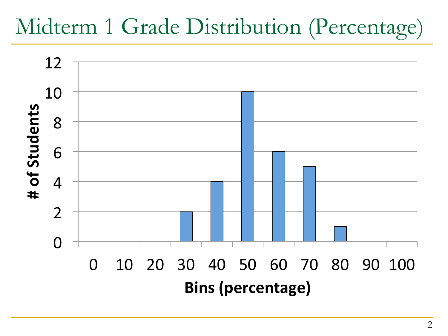## Midterm 1 Grade Distribution (Percentage)

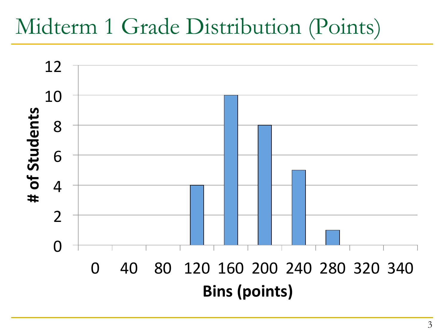## Midterm 1 Grade Distribution (Points)

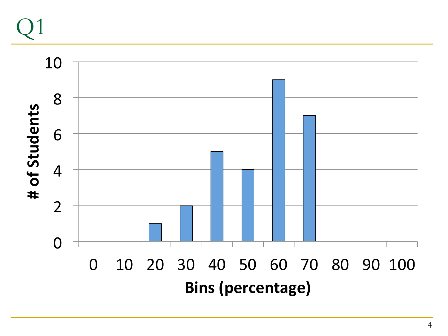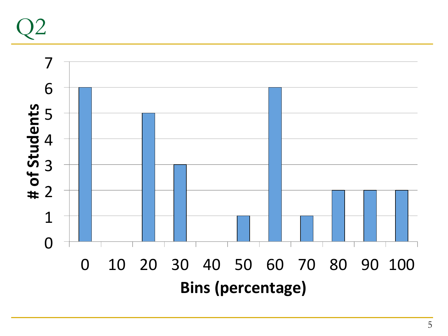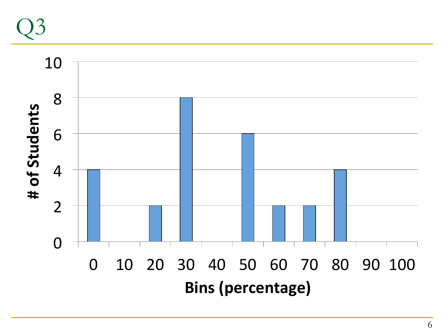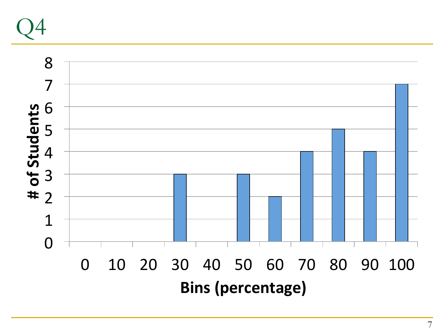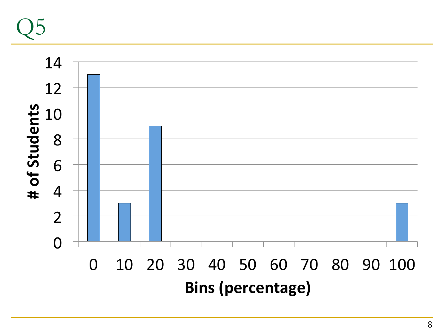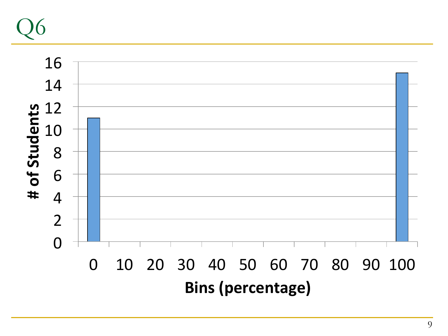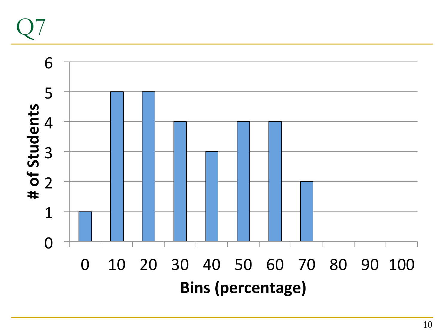